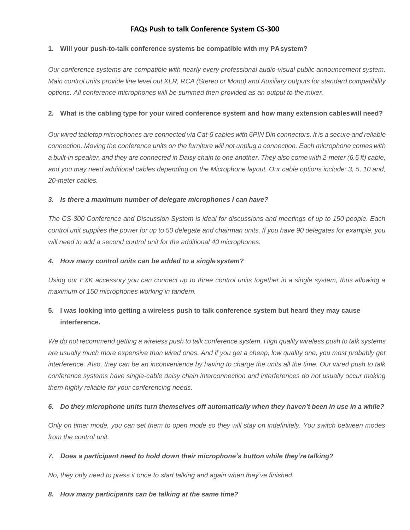### **FAQs Push to talk Conference System CS-300**

### **1. Will your push-to-talk conference systems be compatible with my PAsystem?**

*Our conference systems are compatible with nearly every professional audio-visual public announcement system.*  Main control units provide line level out XLR, RCA (Stereo or Mono) and Auxiliary outputs for standard compatibility *options. All conference microphones will be summed then provided as an output to the mixer.*

#### **2. What is the cabling type for your wired conference system and how many extension cableswill need?**

Our wired tabletop microphones are connected via Cat-5 cables with 6PIN Din connectors. It is a secure and reliable connection. Moving the conference units on the furniture will not unplug a connection. Each microphone comes with a built-in speaker, and they are connected in Daisy chain to one another. They also come with 2-meter (6.5 ft) cable, *and you may need additional cables depending on the Microphone layout. Our cable options include: 3, 5, 10 and, 20-meter cables.*

#### *3. Is there a maximum number of delegate microphones I can have?*

*The CS-300 Conference and Discussion System is ideal for discussions and meetings of up to 150 people. Each*  control unit supplies the power for up to 50 delegate and chairman units. If you have 90 delegates for example, you *will need to add a second control unit for the additional 40 microphones.*

#### *4. How many control units can be added to a singlesystem?*

*Using our EXK accessory you can connect up to three control units together in a single system, thus allowing a maximum of 150 microphones working in tandem.*

# **5. I was looking into getting a wireless push to talk conference system but heard they may cause interference.**

We do not recommend getting a wireless push to talk conference system. High quality wireless push to talk systems *are usually much more expensive than wired ones. And if you get a cheap, low quality one, you most probably get interference. Also, they can be an inconvenience by having to charge the units all the time. Our wired push to talk conference systems have single-cable daisy chain interconnection and interferences do not usually occur making them highly reliable for your conferencing needs.*

### 6. Do they microphone units turn themselves off automatically when they haven't been in use in a while?

*Only on timer mode, you can set them to open mode so they will stay on indefinitely. You switch between modes from the control unit.*

#### *7. Does a participant need to hold down their microphone's button while they're talking?*

*No, they only need to press it once to start talking and again when they've finished.*

#### *8. How many participants can be talking at the same time?*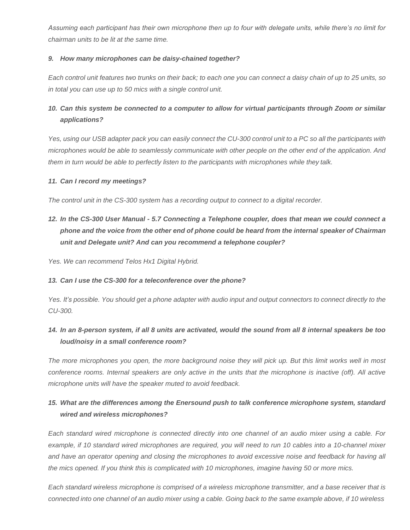*Assuming each participant has their own microphone then up to four with delegate units, while there's no limit for chairman units to be lit at the same time.*

#### *9. How many microphones can be daisy-chained together?*

Each control unit features two trunks on their back; to each one you can connect a daisy chain of up to 25 units, so *in total you can use up to 50 mics with a single control unit.*

# *10. Can this system be connected to a computer to allow for virtual participants through Zoom or similar applications?*

Yes, using our USB adapter pack you can easily connect the CU-300 control unit to a PC so all the participants with *microphones would be able to seamlessly communicate with other people on the other end of the application. And them in turn would be able to perfectly listen to the participants with microphones while they talk.*

#### *11. Can I record my meetings?*

*The control unit in the CS-300 system has a recording output to connect to a digital recorder.*

*12. In the CS-300 User Manual - 5.7 Connecting a Telephone coupler, does that mean we could connect a*  phone and the voice from the other end of phone could be heard from the internal speaker of Chairman *unit and Delegate unit? And can you recommend a telephone coupler?*

*Yes. We can recommend Telos Hx1 Digital Hybrid.*

#### *13. Can I use the CS-300 for a teleconference over the phone?*

Yes. It's possible. You should get a phone adapter with audio input and output connectors to connect directly to the *CU-300.*

### *14. In an 8-person system, if all 8 units are activated, would the sound from all 8 internal speakers be too loud/noisy in a small conference room?*

*The more microphones you open, the more background noise they will pick up. But this limit works well in most*  conference rooms. Internal speakers are only active in the units that the microphone is inactive (off). All active *microphone units will have the speaker muted to avoid feedback.*

### *15. What are the differences among the Enersound push to talk conference microphone system, standard wired and wireless microphones?*

*Each standard wired microphone is connected directly into one channel of an audio mixer using a cable. For example, if 10 standard wired microphones are required, you will need to run 10 cables into a 10-channel mixer and have an operator opening and closing the microphones to avoid excessive noise and feedback for having all the mics opened. If you think this is complicated with 10 microphones, imagine having 50 or more mics.*

*Each standard wireless microphone is comprised of a wireless microphone transmitter, and a base receiver that is*  connected into one channel of an audio mixer using a cable. Going back to the same example above, if 10 wireless